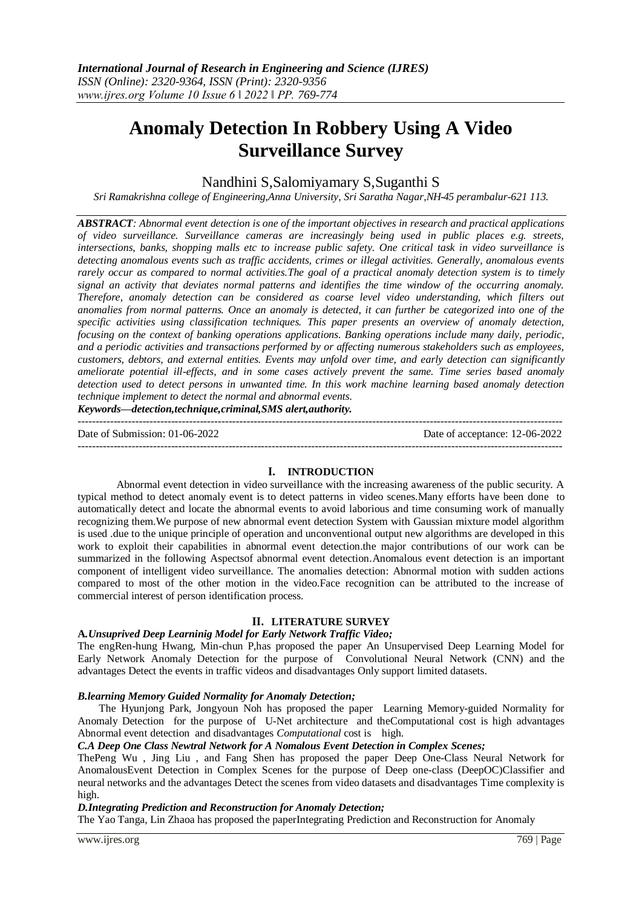# **Anomaly Detection In Robbery Using A Video Surveillance Survey**

# Nandhini S,Salomiyamary S,Suganthi S

*Sri Ramakrishna college of Engineering,Anna University, Sri Saratha Nagar,NH-45 perambalur-621 113.*

*ABSTRACT: Abnormal event detection is one of the important objectives in research and practical applications of video surveillance. Surveillance cameras are increasingly being used in public places e.g. streets, intersections, banks, shopping malls etc to increase public safety. One critical task in video surveillance is detecting anomalous events such as traffic accidents, crimes or illegal activities. Generally, anomalous events rarely occur as compared to normal activities.The goal of a practical anomaly detection system is to timely signal an activity that deviates normal patterns and identifies the time window of the occurring anomaly. Therefore, anomaly detection can be considered as coarse level video understanding, which filters out anomalies from normal patterns. Once an anomaly is detected, it can further be categorized into one of the specific activities using classification techniques. This paper presents an overview of anomaly detection, focusing on the context of banking operations applications. Banking operations include many daily, periodic, and a periodic activities and transactions performed by or affecting numerous stakeholders such as employees, customers, debtors, and external entities. Events may unfold over time, and early detection can significantly ameliorate potential ill-effects, and in some cases actively prevent the same. Time series based anomaly detection used to detect persons in unwanted time. In this work machine learning based anomaly detection technique implement to detect the normal and abnormal events.* 

*Keywords—detection,technique,criminal,SMS alert,authority.*

---------------------------------------------------------------------------------------------------------------------------------------

 $-1\leq i\leq n-1$ 

Date of Submission: 01-06-2022 Date of acceptance: 12-06-2022

## **I. INTRODUCTION**

Abnormal event detection in video surveillance with the increasing awareness of the public security. A typical method to detect anomaly event is to detect patterns in video scenes.Many efforts have been done to automatically detect and locate the abnormal events to avoid laborious and time consuming work of manually recognizing them.We purpose of new abnormal event detection System with Gaussian mixture model algorithm is used .due to the unique principle of operation and unconventional output new algorithms are developed in this work to exploit their capabilities in abnormal event detection.the major contributions of our work can be summarized in the following Aspectsof abnormal event detection.Anomalous event detection is an important component of intelligent video surveillance. The anomalies detection: Abnormal motion with sudden actions compared to most of the other motion in the video.Face recognition can be attributed to the increase of commercial interest of person identification process.

# **II. LITERATURE SURVEY**

## **A***.Unsuprived Deep Learninig Model for Early Network Traffic Video;*

The engRen-hung Hwang, Min-chun P,has proposed the paper An Unsupervised Deep Learning Model for Early Network Anomaly Detection for the purpose of Convolutional Neural Network (CNN) and the advantages Detect the events in traffic videos and disadvantages Only support limited datasets.

## *B.learning Memory Guided Normality for Anomaly Detection;*

 The Hyunjong Park, Jongyoun Noh has proposed the paper Learning Memory-guided Normality for Anomaly Detection for the purpose of U-Net architecture and theComputational cost is high advantages Abnormal event detection and disadvantages *Computational* cost is high.

## *C.A Deep One Class Newtral Network for A Nomalous Event Detection in Complex Scenes;*

ThePeng Wu , Jing Liu , and Fang Shen has proposed the paper Deep One-Class Neural Network for AnomalousEvent Detection in Complex Scenes for the purpose of Deep one-class (DeepOC)Classifier and neural networks and the advantages Detect the scenes from video datasets and disadvantages Time complexity is high.

## *D.Integrating Prediction and Reconstruction for Anomaly Detection;*

The Yao Tanga, Lin Zhaoa has proposed the paperIntegrating Prediction and Reconstruction for Anomaly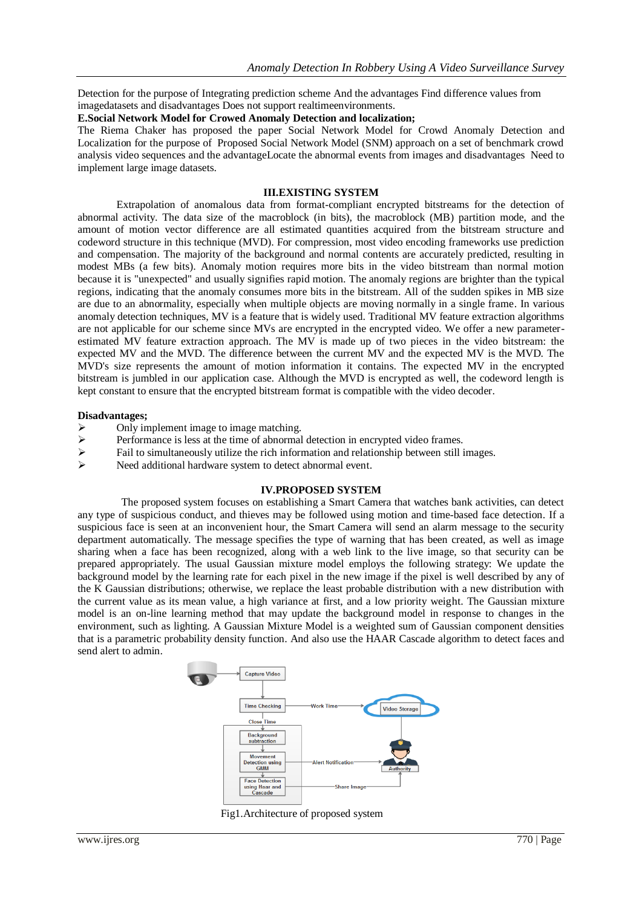Detection for the purpose of Integrating prediction scheme And the advantages Find difference values from imagedatasets and disadvantages Does not support realtimeenvironments.

#### **E.Social Network Model for Crowed Anomaly Detection and localization;**

The Riema Chaker has proposed the paper Social Network Model for Crowd Anomaly Detection and Localization for the purpose of Proposed Social Network Model (SNM) approach on a set of benchmark crowd analysis video sequences and the advantageLocate the abnormal events from images and disadvantages Need to implement large image datasets.

#### **III.EXISTING SYSTEM**

Extrapolation of anomalous data from format-compliant encrypted bitstreams for the detection of abnormal activity. The data size of the macroblock (in bits), the macroblock (MB) partition mode, and the amount of motion vector difference are all estimated quantities acquired from the bitstream structure and codeword structure in this technique (MVD). For compression, most video encoding frameworks use prediction and compensation. The majority of the background and normal contents are accurately predicted, resulting in modest MBs (a few bits). Anomaly motion requires more bits in the video bitstream than normal motion because it is "unexpected" and usually signifies rapid motion. The anomaly regions are brighter than the typical regions, indicating that the anomaly consumes more bits in the bitstream. All of the sudden spikes in MB size are due to an abnormality, especially when multiple objects are moving normally in a single frame. In various anomaly detection techniques, MV is a feature that is widely used. Traditional MV feature extraction algorithms are not applicable for our scheme since MVs are encrypted in the encrypted video. We offer a new parameterestimated MV feature extraction approach. The MV is made up of two pieces in the video bitstream: the expected MV and the MVD. The difference between the current MV and the expected MV is the MVD. The MVD's size represents the amount of motion information it contains. The expected MV in the encrypted bitstream is jumbled in our application case. Although the MVD is encrypted as well, the codeword length is kept constant to ensure that the encrypted bitstream format is compatible with the video decoder.

#### **Disadvantages;**

- $\triangleright$  Only implement image to image matching.
- $\triangleright$  Performance is less at the time of abnormal detection in encrypted video frames.
- $\triangleright$  Fail to simultaneously utilize the rich information and relationship between still images.<br>
Need additional hardware system to detect abnormal event
- Need additional hardware system to detect abnormal event.

## **IV.PROPOSED SYSTEM**

The proposed system focuses on establishing a Smart Camera that watches bank activities, can detect any type of suspicious conduct, and thieves may be followed using motion and time-based face detection. If a suspicious face is seen at an inconvenient hour, the Smart Camera will send an alarm message to the security department automatically. The message specifies the type of warning that has been created, as well as image sharing when a face has been recognized, along with a web link to the live image, so that security can be prepared appropriately. The usual Gaussian mixture model employs the following strategy: We update the background model by the learning rate for each pixel in the new image if the pixel is well described by any of the K Gaussian distributions; otherwise, we replace the least probable distribution with a new distribution with the current value as its mean value, a high variance at first, and a low priority weight. The Gaussian mixture model is an on-line learning method that may update the background model in response to changes in the environment, such as lighting. A Gaussian Mixture Model is a weighted sum of Gaussian component densities that is a parametric probability density function. And also use the HAAR Cascade algorithm to detect faces and send alert to admin.



Fig1.Architecture of proposed system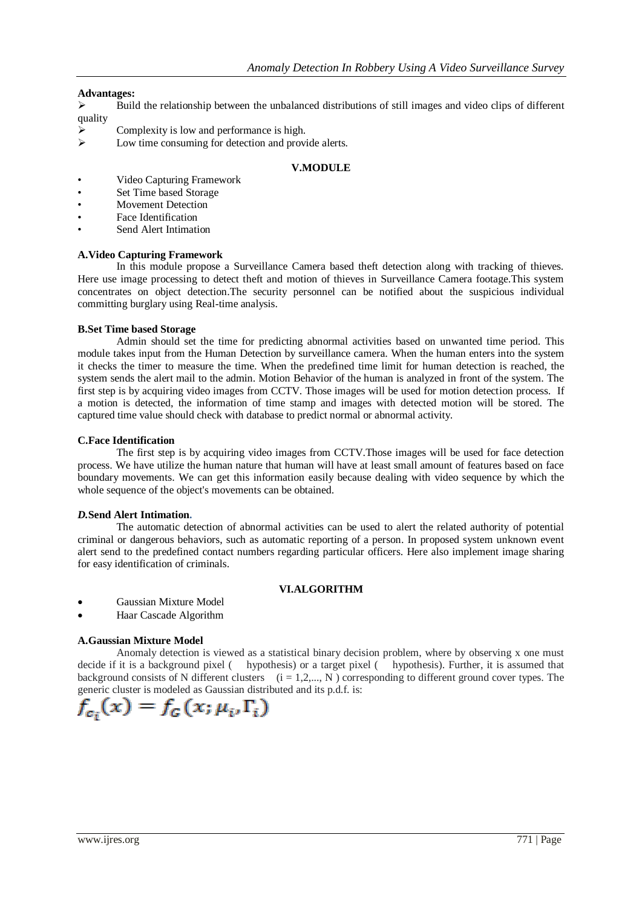## **Advantages:**

- $\triangleright$  Build the relationship between the unbalanced distributions of still images and video clips of different quality
- Complexity is low and performance is high.
- $\triangleright$  Low time consuming for detection and provide alerts.

#### **V.MODULE**

- Video Capturing Framework
- Set Time based Storage
- **Movement Detection**
- Face Identification
- Send Alert Intimation

## **A.Video Capturing Framework**

In this module propose a Surveillance Camera based theft detection along with tracking of thieves. Here use image processing to detect theft and motion of thieves in Surveillance Camera footage.This system concentrates on object detection.The security personnel can be notified about the suspicious individual committing burglary using Real-time analysis.

## **B.Set Time based Storage**

Admin should set the time for predicting abnormal activities based on unwanted time period. This module takes input from the Human Detection by surveillance camera. When the human enters into the system it checks the timer to measure the time. When the predefined time limit for human detection is reached, the system sends the alert mail to the admin. Motion Behavior of the human is analyzed in front of the system. The first step is by acquiring video images from CCTV. Those images will be used for motion detection process. If a motion is detected, the information of time stamp and images with detected motion will be stored. The captured time value should check with database to predict normal or abnormal activity.

## **C.Face Identification**

The first step is by acquiring video images from CCTV.Those images will be used for face detection process. We have utilize the human nature that human will have at least small amount of features based on face boundary movements. We can get this information easily because dealing with video sequence by which the whole sequence of the object's movements can be obtained.

## *D.***Send Alert Intimation.**

The automatic detection of abnormal activities can be used to alert the related authority of potential criminal or dangerous behaviors, such as automatic reporting of a person. In proposed system unknown event alert send to the predefined contact numbers regarding particular officers. Here also implement image sharing for easy identification of criminals.

## **VI.ALGORITHM**

- Gaussian Mixture Model
- Haar Cascade Algorithm

# **A.Gaussian Mixture Model**

Anomaly detection is viewed as a statistical binary decision problem, where by observing x one must decide if it is a background pixel ( hypothesis) or a target pixel ( hypothesis). Further, it is assumed that background consists of N different clusters  $(i = 1, 2, ..., N)$  corresponding to different ground cover types. The generic cluster is modeled as Gaussian distributed and its p.d.f. is:

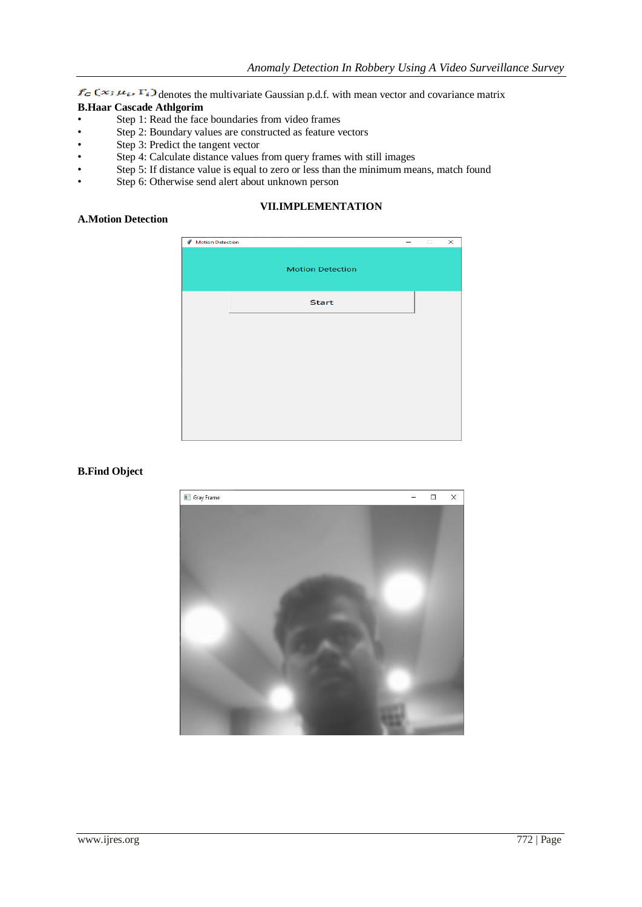$f_G(x;\mu_{\epsilon}, \Gamma_{\epsilon})$  denotes the multivariate Gaussian p.d.f. with mean vector and covariance matrix **B.Haar Cascade Athlgorim**

- Step 1: Read the face boundaries from video frames
- Step 2: Boundary values are constructed as feature vectors
- Step 3: Predict the tangent vector
- Step 4: Calculate distance values from query frames with still images
- Step 5: If distance value is equal to zero or less than the minimum means, match found
- Step 6: Otherwise send alert about unknown person

# **VII.IMPLEMENTATION**

# **A.Motion Detection**

| Motion Detection |  |                         |  | $\Box$ | $\times$ |
|------------------|--|-------------------------|--|--------|----------|
|                  |  | <b>Motion Detection</b> |  |        |          |
|                  |  | <b>Start</b>            |  |        |          |
|                  |  |                         |  |        |          |
|                  |  |                         |  |        |          |
|                  |  |                         |  |        |          |
|                  |  |                         |  |        |          |
|                  |  |                         |  |        |          |

## **B.Find Object**

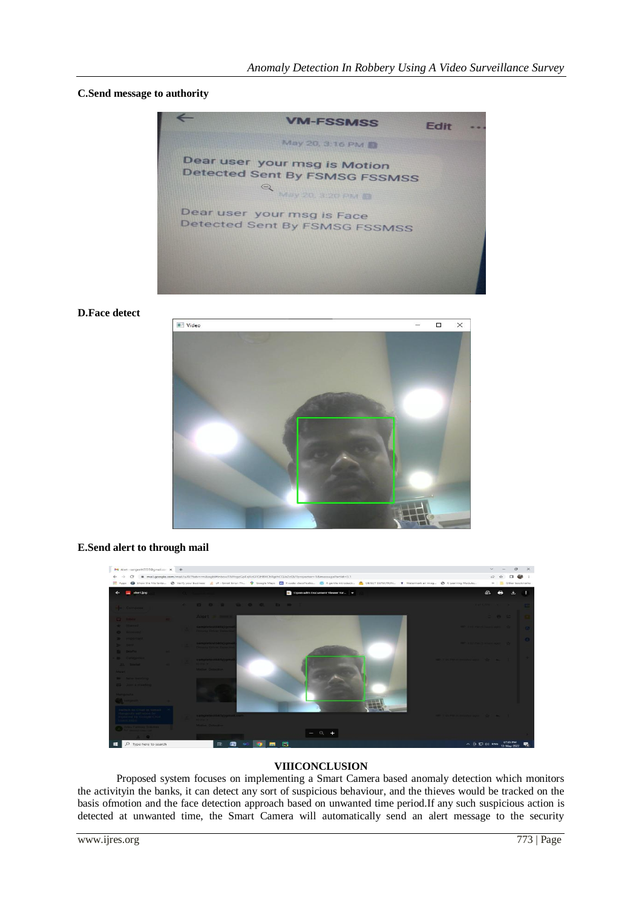## **C.Send message to authority**



**D.Face detect**



#### **E.Send alert to through mail**



### **VIIICONCLUSION**

Proposed system focuses on implementing a Smart Camera based anomaly detection which monitors the activityin the banks, it can detect any sort of suspicious behaviour, and the thieves would be tracked on the basis ofmotion and the face detection approach based on unwanted time period.If any such suspicious action is detected at unwanted time, the Smart Camera will automatically send an alert message to the security